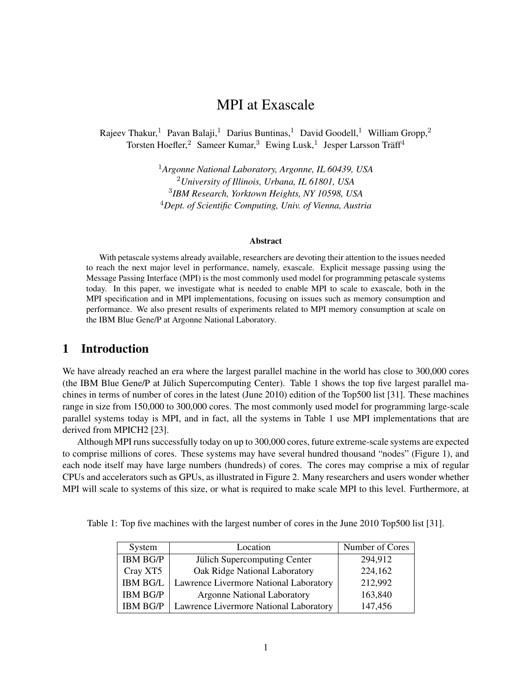# MPI at Exascale

Rajeev Thakur,<sup>1</sup> Pavan Balaji,<sup>1</sup> Darius Buntinas,<sup>1</sup> David Goodell,<sup>1</sup> William Gropp,<sup>2</sup> Torsten Hoefler,<sup>2</sup> Sameer Kumar,<sup>3</sup> Ewing Lusk,<sup>1</sup> Jesper Larsson Träff<sup>4</sup>

> *Argonne National Laboratory, Argonne, IL 60439, USA University of Illinois, Urbana, IL 61801, USA IBM Research, Yorktown Heights, NY 10598, USA Dept. of Scientific Computing, Univ. of Vienna, Austria*

#### Abstract

With petascale systems already available, researchers are devoting their attention to the issues needed to reach the next major level in performance, namely, exascale. Explicit message passing using the Message Passing Interface (MPI) is the most commonly used model for programming petascale systems today. In this paper, we investigate what is needed to enable MPI to scale to exascale, both in the MPI specification and in MPI implementations, focusing on issues such as memory consumption and performance. We also present results of experiments related to MPI memory consumption at scale on the IBM Blue Gene/P at Argonne National Laboratory.

### 1 Introduction

We have already reached an era where the largest parallel machine in the world has close to 300,000 cores (the IBM Blue Gene/P at Julich Supercomputing Center). Table 1 shows the top five largest parallel ma- ¨ chines in terms of number of cores in the latest (June 2010) edition of the Top500 list [31]. These machines range in size from 150,000 to 300,000 cores. The most commonly used model for programming large-scale parallel systems today is MPI, and in fact, all the systems in Table 1 use MPI implementations that are derived from MPICH2 [23].

Although MPI runs successfully today on up to 300,000 cores, future extreme-scale systems are expected to comprise millions of cores. These systems may have several hundred thousand "nodes" (Figure 1), and each node itself may have large numbers (hundreds) of cores. The cores may comprise a mix of regular CPUs and accelerators such as GPUs, as illustrated in Figure 2. Many researchers and users wonder whether MPI will scale to systems of this size, or what is required to make scale MPI to this level. Furthermore, at

Table 1: Top five machines with the largest number of cores in the June 2010 Top500 list [31].

| System          | Location                               | Number of Cores |
|-----------------|----------------------------------------|-----------------|
| <b>IBM BG/P</b> | Jülich Supercomputing Center           | 294,912         |
| Cray XT5        | Oak Ridge National Laboratory          | 224,162         |
| <b>IBM BG/L</b> | Lawrence Livermore National Laboratory | 212,992         |
| <b>IBM BG/P</b> | <b>Argonne National Laboratory</b>     | 163,840         |
| <b>IBM BG/P</b> | Lawrence Livermore National Laboratory | 147,456         |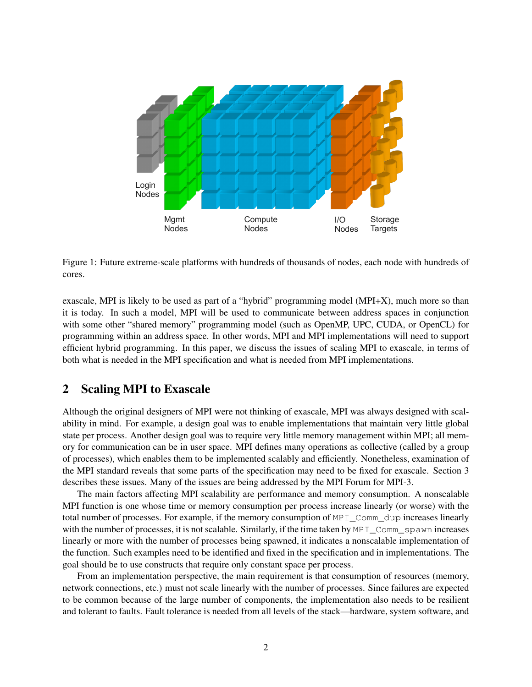

Figure 1: Future extreme-scale platforms with hundreds of thousands of nodes, each node with hundreds of cores.

exascale, MPI is likely to be used as part of a "hybrid" programming model (MPI+X), much more so than it is today. In such a model, MPI will be used to communicate between address spaces in conjunction with some other "shared memory" programming model (such as OpenMP, UPC, CUDA, or OpenCL) for programming within an address space. In other words, MPI and MPI implementations will need to support efficient hybrid programming. In this paper, we discuss the issues of scaling MPI to exascale, in terms of both what is needed in the MPI specification and what is needed from MPI implementations.

# 2 Scaling MPI to Exascale

Although the original designers of MPI were not thinking of exascale, MPI was always designed with scalability in mind. For example, a design goal was to enable implementations that maintain very little global state per process. Another design goal was to require very little memory management within MPI; all memory for communication can be in user space. MPI defines many operations as collective (called by a group of processes), which enables them to be implemented scalably and efficiently. Nonetheless, examination of the MPI standard reveals that some parts of the specification may need to be fixed for exascale. Section 3 describes these issues. Many of the issues are being addressed by the MPI Forum for MPI-3.

The main factors affecting MPI scalability are performance and memory consumption. A nonscalable MPI function is one whose time or memory consumption per process increase linearly (or worse) with the total number of processes. For example, if the memory consumption of MPI\_Comm\_dup increases linearly with the number of processes, it is not scalable. Similarly, if the time taken by MPI\_Comm\_spawn increases linearly or more with the number of processes being spawned, it indicates a nonscalable implementation of the function. Such examples need to be identified and fixed in the specification and in implementations. The goal should be to use constructs that require only constant space per process.

From an implementation perspective, the main requirement is that consumption of resources (memory, network connections, etc.) must not scale linearly with the number of processes. Since failures are expected to be common because of the large number of components, the implementation also needs to be resilient and tolerant to faults. Fault tolerance is needed from all levels of the stack—hardware, system software, and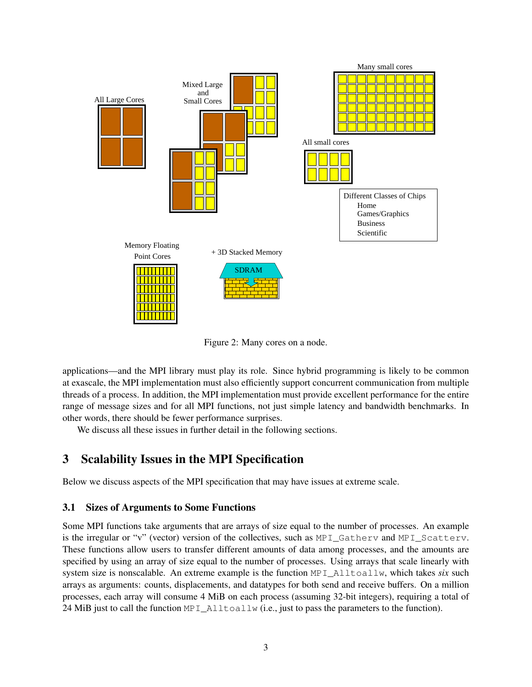

Figure 2: Many cores on a node.

applications—and the MPI library must play its role. Since hybrid programming is likely to be common at exascale, the MPI implementation must also efficiently support concurrent communication from multiple threads of a process. In addition, the MPI implementation must provide excellent performance for the entire range of message sizes and for all MPI functions, not just simple latency and bandwidth benchmarks. In other words, there should be fewer performance surprises.

We discuss all these issues in further detail in the following sections.

# 3 Scalability Issues in the MPI Specification

Below we discuss aspects of the MPI specification that may have issues at extreme scale.

## 3.1 Sizes of Arguments to Some Functions

Some MPI functions take arguments that are arrays of size equal to the number of processes. An example is the irregular or "v" (vector) version of the collectives, such as MPI\_Gatherv and MPI\_Scatterv. These functions allow users to transfer different amounts of data among processes, and the amounts are specified by using an array of size equal to the number of processes. Using arrays that scale linearly with system size is nonscalable. An extreme example is the function MPI\_Alltoallw, which takes *six* such arrays as arguments: counts, displacements, and datatypes for both send and receive buffers. On a million processes, each array will consume 4 MiB on each process (assuming 32-bit integers), requiring a total of 24 MiB just to call the function MPI\_Alltoallw (i.e., just to pass the parameters to the function).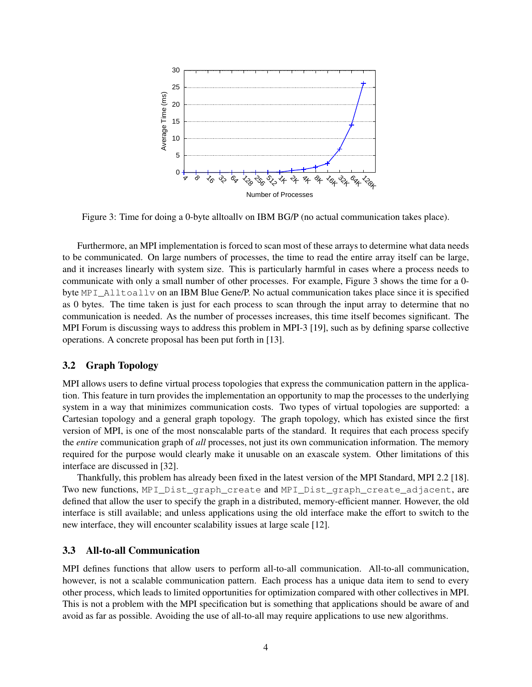

Figure 3: Time for doing a 0-byte alltoallv on IBM BG/P (no actual communication takes place).

Furthermore, an MPI implementation is forced to scan most of these arrays to determine what data needs to be communicated. On large numbers of processes, the time to read the entire array itself can be large, and it increases linearly with system size. This is particularly harmful in cases where a process needs to communicate with only a small number of other processes. For example, Figure 3 shows the time for a 0 byte MPI\_Alltoallv on an IBM Blue Gene/P. No actual communication takes place since it is specified as 0 bytes. The time taken is just for each process to scan through the input array to determine that no communication is needed. As the number of processes increases, this time itself becomes significant. The MPI Forum is discussing ways to address this problem in MPI-3 [19], such as by defining sparse collective operations. A concrete proposal has been put forth in [13].

#### 3.2 Graph Topology

MPI allows users to define virtual process topologies that express the communication pattern in the application. This feature in turn provides the implementation an opportunity to map the processes to the underlying system in a way that minimizes communication costs. Two types of virtual topologies are supported: a Cartesian topology and a general graph topology. The graph topology, which has existed since the first version of MPI, is one of the most nonscalable parts of the standard. It requires that each process specify the *entire* communication graph of *all* processes, not just its own communication information. The memory required for the purpose would clearly make it unusable on an exascale system. Other limitations of this interface are discussed in [32].

Thankfully, this problem has already been fixed in the latest version of the MPI Standard, MPI 2.2 [18]. Two new functions, MPI\_Dist\_graph\_create and MPI\_Dist\_graph\_create\_adjacent, are defined that allow the user to specify the graph in a distributed, memory-efficient manner. However, the old interface is still available; and unless applications using the old interface make the effort to switch to the new interface, they will encounter scalability issues at large scale [12].

### 3.3 All-to-all Communication

MPI defines functions that allow users to perform all-to-all communication. All-to-all communication, however, is not a scalable communication pattern. Each process has a unique data item to send to every other process, which leads to limited opportunities for optimization compared with other collectives in MPI. This is not a problem with the MPI specification but is something that applications should be aware of and avoid as far as possible. Avoiding the use of all-to-all may require applications to use new algorithms.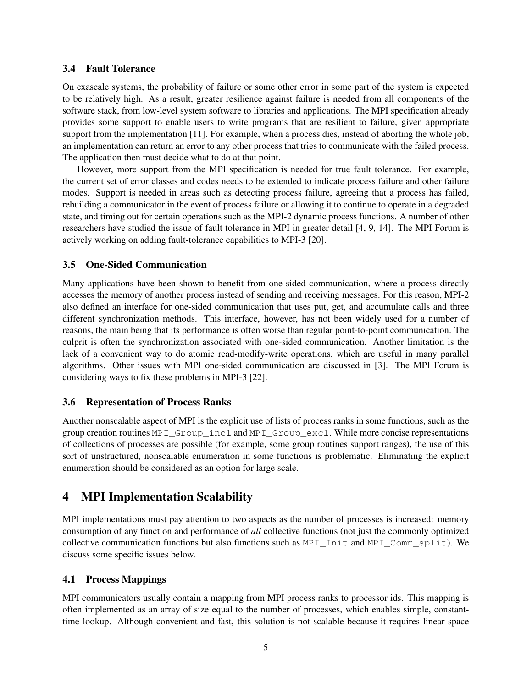### 3.4 Fault Tolerance

On exascale systems, the probability of failure or some other error in some part of the system is expected to be relatively high. As a result, greater resilience against failure is needed from all components of the software stack, from low-level system software to libraries and applications. The MPI specification already provides some support to enable users to write programs that are resilient to failure, given appropriate support from the implementation [11]. For example, when a process dies, instead of aborting the whole job, an implementation can return an error to any other process that tries to communicate with the failed process. The application then must decide what to do at that point.

However, more support from the MPI specification is needed for true fault tolerance. For example, the current set of error classes and codes needs to be extended to indicate process failure and other failure modes. Support is needed in areas such as detecting process failure, agreeing that a process has failed, rebuilding a communicator in the event of process failure or allowing it to continue to operate in a degraded state, and timing out for certain operations such as the MPI-2 dynamic process functions. A number of other researchers have studied the issue of fault tolerance in MPI in greater detail [4, 9, 14]. The MPI Forum is actively working on adding fault-tolerance capabilities to MPI-3 [20].

### 3.5 One-Sided Communication

Many applications have been shown to benefit from one-sided communication, where a process directly accesses the memory of another process instead of sending and receiving messages. For this reason, MPI-2 also defined an interface for one-sided communication that uses put, get, and accumulate calls and three different synchronization methods. This interface, however, has not been widely used for a number of reasons, the main being that its performance is often worse than regular point-to-point communication. The culprit is often the synchronization associated with one-sided communication. Another limitation is the lack of a convenient way to do atomic read-modify-write operations, which are useful in many parallel algorithms. Other issues with MPI one-sided communication are discussed in [3]. The MPI Forum is considering ways to fix these problems in MPI-3 [22].

### 3.6 Representation of Process Ranks

Another nonscalable aspect of MPI is the explicit use of lists of process ranks in some functions, such as the group creation routines MPI\_Group\_incl and MPI\_Group\_excl. While more concise representations of collections of processes are possible (for example, some group routines support ranges), the use of this sort of unstructured, nonscalable enumeration in some functions is problematic. Eliminating the explicit enumeration should be considered as an option for large scale.

# 4 MPI Implementation Scalability

MPI implementations must pay attention to two aspects as the number of processes is increased: memory consumption of any function and performance of *all* collective functions (not just the commonly optimized collective communication functions but also functions such as MPI\_Init and MPI\_Comm\_split). We discuss some specific issues below.

## 4.1 Process Mappings

MPI communicators usually contain a mapping from MPI process ranks to processor ids. This mapping is often implemented as an array of size equal to the number of processes, which enables simple, constanttime lookup. Although convenient and fast, this solution is not scalable because it requires linear space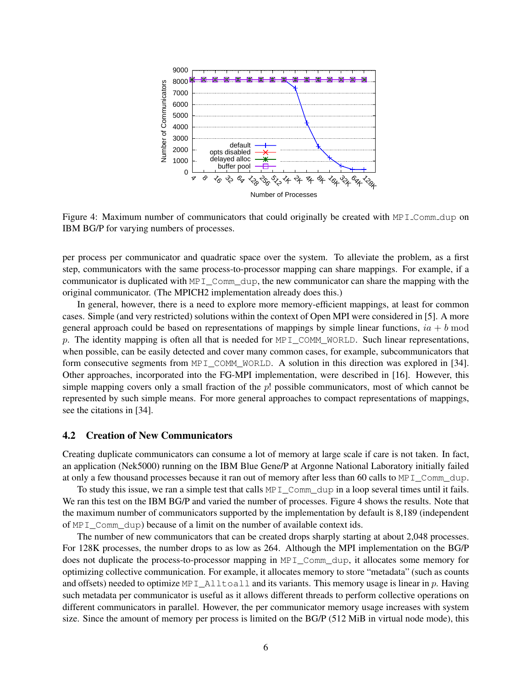

Figure 4: Maximum number of communicators that could originally be created with MPI\_Comm\_dup on IBM BG/P for varying numbers of processes.

per process per communicator and quadratic space over the system. To alleviate the problem, as a first step, communicators with the same process-to-processor mapping can share mappings. For example, if a communicator is duplicated with  $MPI_Comm_dup$ , the new communicator can share the mapping with the original communicator. (The MPICH2 implementation already does this.)

In general, however, there is a need to explore more memory-efficient mappings, at least for common cases. Simple (and very restricted) solutions within the context of Open MPI were considered in [5]. A more general approach could be based on representations of mappings by simple linear functions,  $ia + b$  mod p. The identity mapping is often all that is needed for MPI\_COMM\_WORLD. Such linear representations, when possible, can be easily detected and cover many common cases, for example, subcommunicators that form consecutive segments from MPI\_COMM\_WORLD. A solution in this direction was explored in [34]. Other approaches, incorporated into the FG-MPI implementation, were described in [16]. However, this simple mapping covers only a small fraction of the  $p!$  possible communicators, most of which cannot be represented by such simple means. For more general approaches to compact representations of mappings, see the citations in [34].

### 4.2 Creation of New Communicators

Creating duplicate communicators can consume a lot of memory at large scale if care is not taken. In fact, an application (Nek5000) running on the IBM Blue Gene/P at Argonne National Laboratory initially failed at only a few thousand processes because it ran out of memory after less than 60 calls to MPI\_Comm\_dup.

To study this issue, we ran a simple test that calls  $MPI$  Comm dup in a loop several times until it fails. We ran this test on the IBM BG/P and varied the number of processes. Figure 4 shows the results. Note that the maximum number of communicators supported by the implementation by default is 8,189 (independent of MPI\_Comm\_dup) because of a limit on the number of available context ids.

The number of new communicators that can be created drops sharply starting at about 2,048 processes. For 128K processes, the number drops to as low as 264. Although the MPI implementation on the BG/P does not duplicate the process-to-processor mapping in MPI\_Comm\_dup, it allocates some memory for optimizing collective communication. For example, it allocates memory to store "metadata" (such as counts and offsets) needed to optimize MPI\_Alltoall and its variants. This memory usage is linear in p. Having such metadata per communicator is useful as it allows different threads to perform collective operations on different communicators in parallel. However, the per communicator memory usage increases with system size. Since the amount of memory per process is limited on the BG/P (512 MiB in virtual node mode), this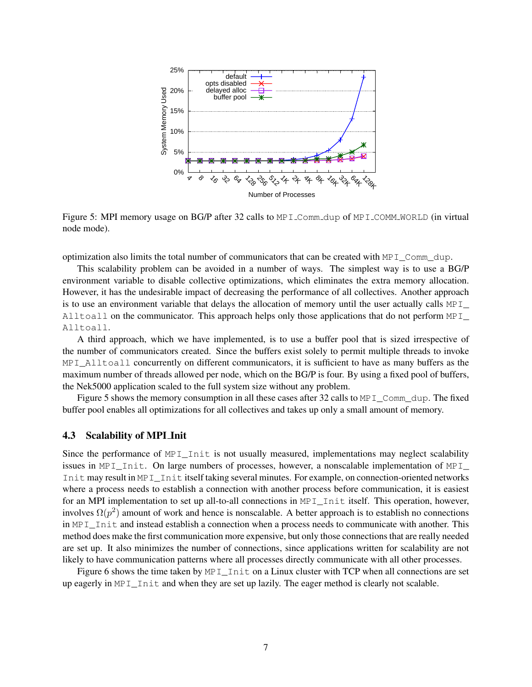

Figure 5: MPI memory usage on BG/P after 32 calls to MPI\_Comm\_dup of MPI\_COMM\_WORLD (in virtual node mode).

optimization also limits the total number of communicators that can be created with MPI\_Comm\_dup.

This scalability problem can be avoided in a number of ways. The simplest way is to use a BG/P environment variable to disable collective optimizations, which eliminates the extra memory allocation. However, it has the undesirable impact of decreasing the performance of all collectives. Another approach is to use an environment variable that delays the allocation of memory until the user actually calls MPI Alltoall on the communicator. This approach helps only those applications that do not perform MPI Alltoall.

A third approach, which we have implemented, is to use a buffer pool that is sized irrespective of the number of communicators created. Since the buffers exist solely to permit multiple threads to invoke MPI\_Alltoall concurrently on different communicators, it is sufficient to have as many buffers as the maximum number of threads allowed per node, which on the BG/P is four. By using a fixed pool of buffers, the Nek5000 application scaled to the full system size without any problem.

Figure 5 shows the memory consumption in all these cases after 32 calls to MPI\_Comm\_dup. The fixed buffer pool enables all optimizations for all collectives and takes up only a small amount of memory.

### 4.3 Scalability of MPI Init

Since the performance of MPI\_Init is not usually measured, implementations may neglect scalability issues in MPI\_Init. On large numbers of processes, however, a nonscalable implementation of MPI\_ Init may result in MPI\_Init itself taking several minutes. For example, on connection-oriented networks where a process needs to establish a connection with another process before communication, it is easiest for an MPI implementation to set up all-to-all connections in MPI\_Init itself. This operation, however, involves  $\Omega(p^2)$  amount of work and hence is nonscalable. A better approach is to establish no connections in MPI Init and instead establish a connection when a process needs to communicate with another. This method does make the first communication more expensive, but only those connections that are really needed are set up. It also minimizes the number of connections, since applications written for scalability are not likely to have communication patterns where all processes directly communicate with all other processes.

Figure 6 shows the time taken by MPI\_Init on a Linux cluster with TCP when all connections are set up eagerly in MPI Init and when they are set up lazily. The eager method is clearly not scalable.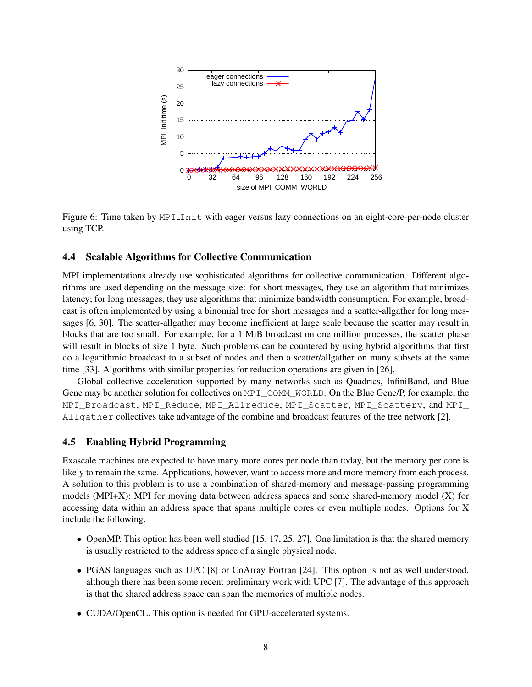

Figure 6: Time taken by MPI Init with eager versus lazy connections on an eight-core-per-node cluster using TCP.

### 4.4 Scalable Algorithms for Collective Communication

MPI implementations already use sophisticated algorithms for collective communication. Different algorithms are used depending on the message size: for short messages, they use an algorithm that minimizes latency; for long messages, they use algorithms that minimize bandwidth consumption. For example, broadcast is often implemented by using a binomial tree for short messages and a scatter-allgather for long messages [6, 30]. The scatter-allgather may become inefficient at large scale because the scatter may result in blocks that are too small. For example, for a 1 MiB broadcast on one million processes, the scatter phase will result in blocks of size 1 byte. Such problems can be countered by using hybrid algorithms that first do a logarithmic broadcast to a subset of nodes and then a scatter/allgather on many subsets at the same time [33]. Algorithms with similar properties for reduction operations are given in [26].

Global collective acceleration supported by many networks such as Quadrics, InfiniBand, and Blue Gene may be another solution for collectives on MPI\_COMM\_WORLD. On the Blue Gene/P, for example, the MPI\_Broadcast, MPI\_Reduce, MPI\_Allreduce, MPI\_Scatter, MPI\_Scatterv, and MPI Allgather collectives take advantage of the combine and broadcast features of the tree network [2].

#### 4.5 Enabling Hybrid Programming

Exascale machines are expected to have many more cores per node than today, but the memory per core is likely to remain the same. Applications, however, want to access more and more memory from each process. A solution to this problem is to use a combination of shared-memory and message-passing programming models (MPI+X): MPI for moving data between address spaces and some shared-memory model (X) for accessing data within an address space that spans multiple cores or even multiple nodes. Options for X include the following.

- OpenMP. This option has been well studied [15, 17, 25, 27]. One limitation is that the shared memory is usually restricted to the address space of a single physical node.
- PGAS languages such as UPC [8] or CoArray Fortran [24]. This option is not as well understood, although there has been some recent preliminary work with UPC [7]. The advantage of this approach is that the shared address space can span the memories of multiple nodes.
- CUDA/OpenCL. This option is needed for GPU-accelerated systems.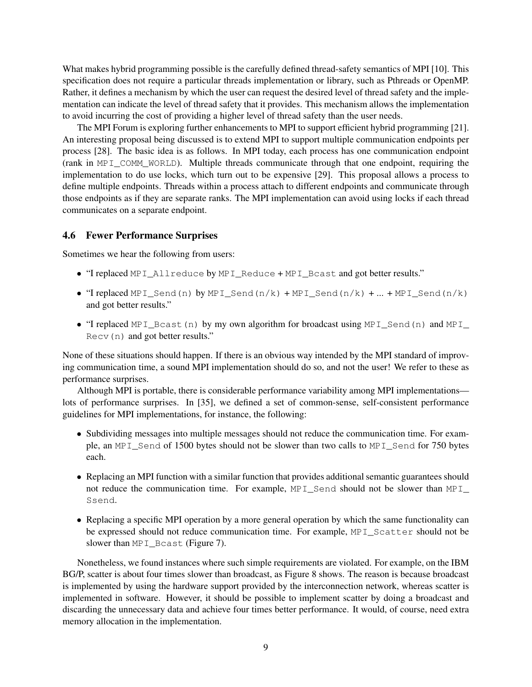What makes hybrid programming possible is the carefully defined thread-safety semantics of MPI [10]. This specification does not require a particular threads implementation or library, such as Pthreads or OpenMP. Rather, it defines a mechanism by which the user can request the desired level of thread safety and the implementation can indicate the level of thread safety that it provides. This mechanism allows the implementation to avoid incurring the cost of providing a higher level of thread safety than the user needs.

The MPI Forum is exploring further enhancements to MPI to support efficient hybrid programming [21]. An interesting proposal being discussed is to extend MPI to support multiple communication endpoints per process [28]. The basic idea is as follows. In MPI today, each process has one communication endpoint (rank in MPI\_COMM\_WORLD). Multiple threads communicate through that one endpoint, requiring the implementation to do use locks, which turn out to be expensive [29]. This proposal allows a process to define multiple endpoints. Threads within a process attach to different endpoints and communicate through those endpoints as if they are separate ranks. The MPI implementation can avoid using locks if each thread communicates on a separate endpoint.

### 4.6 Fewer Performance Surprises

Sometimes we hear the following from users:

- "I replaced MPI\_Allreduce by MPI\_Reduce + MPI\_Bcast and got better results."
- "I replaced MPI\_Send(n) by MPI\_Send(n/k) + MPI\_Send(n/k) + ... + MPI\_Send(n/k) and got better results."
- "I replaced MPI\_Bcast(n) by my own algorithm for broadcast using MPI\_Send(n) and MPI\_ Recv(n) and got better results."

None of these situations should happen. If there is an obvious way intended by the MPI standard of improving communication time, a sound MPI implementation should do so, and not the user! We refer to these as performance surprises.

Although MPI is portable, there is considerable performance variability among MPI implementations lots of performance surprises. In [35], we defined a set of common-sense, self-consistent performance guidelines for MPI implementations, for instance, the following:

- Subdividing messages into multiple messages should not reduce the communication time. For example, an MPI\_Send of 1500 bytes should not be slower than two calls to MPI\_Send for 750 bytes each.
- Replacing an MPI function with a similar function that provides additional semantic guarantees should not reduce the communication time. For example, MPI\_Send should not be slower than MPI\_ Ssend.
- Replacing a specific MPI operation by a more general operation by which the same functionality can be expressed should not reduce communication time. For example, MPI\_Scatter should not be slower than MPI\_Bcast (Figure 7).

Nonetheless, we found instances where such simple requirements are violated. For example, on the IBM BG/P, scatter is about four times slower than broadcast, as Figure 8 shows. The reason is because broadcast is implemented by using the hardware support provided by the interconnection network, whereas scatter is implemented in software. However, it should be possible to implement scatter by doing a broadcast and discarding the unnecessary data and achieve four times better performance. It would, of course, need extra memory allocation in the implementation.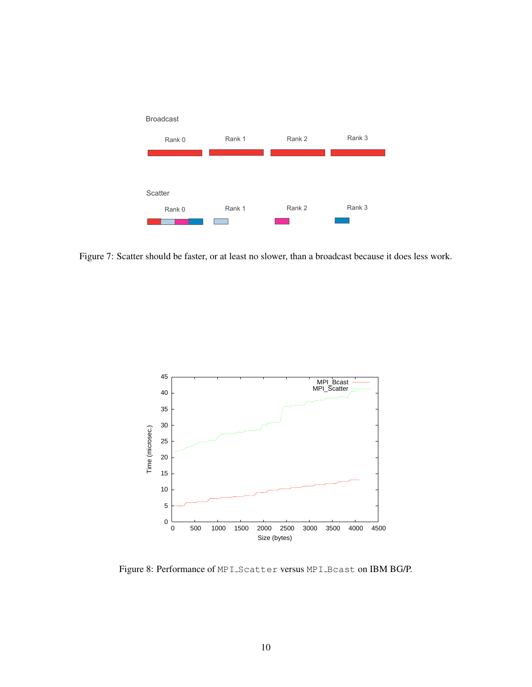

Figure 7: Scatter should be faster, or at least no slower, than a broadcast because it does less work.



Figure 8: Performance of MPI Scatter versus MPI Bcast on IBM BG/P.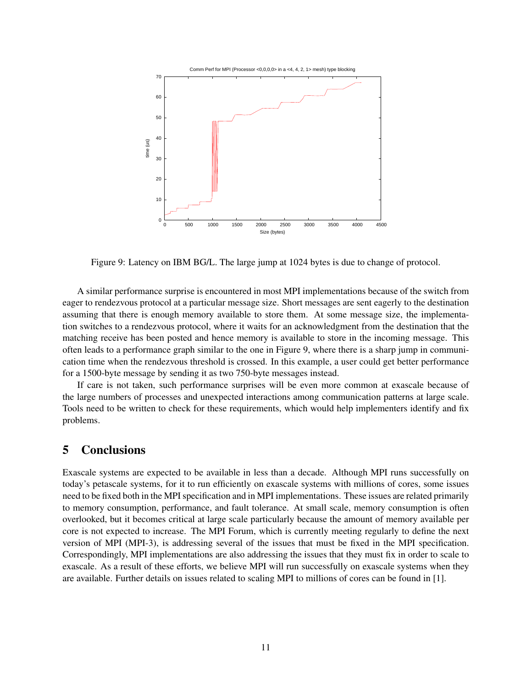

Figure 9: Latency on IBM BG/L. The large jump at 1024 bytes is due to change of protocol.

A similar performance surprise is encountered in most MPI implementations because of the switch from eager to rendezvous protocol at a particular message size. Short messages are sent eagerly to the destination assuming that there is enough memory available to store them. At some message size, the implementation switches to a rendezvous protocol, where it waits for an acknowledgment from the destination that the matching receive has been posted and hence memory is available to store in the incoming message. This often leads to a performance graph similar to the one in Figure 9, where there is a sharp jump in communication time when the rendezvous threshold is crossed. In this example, a user could get better performance for a 1500-byte message by sending it as two 750-byte messages instead.

If care is not taken, such performance surprises will be even more common at exascale because of the large numbers of processes and unexpected interactions among communication patterns at large scale. Tools need to be written to check for these requirements, which would help implementers identify and fix problems.

# 5 Conclusions

Exascale systems are expected to be available in less than a decade. Although MPI runs successfully on today's petascale systems, for it to run efficiently on exascale systems with millions of cores, some issues need to be fixed both in the MPI specification and in MPI implementations. These issues are related primarily to memory consumption, performance, and fault tolerance. At small scale, memory consumption is often overlooked, but it becomes critical at large scale particularly because the amount of memory available per core is not expected to increase. The MPI Forum, which is currently meeting regularly to define the next version of MPI (MPI-3), is addressing several of the issues that must be fixed in the MPI specification. Correspondingly, MPI implementations are also addressing the issues that they must fix in order to scale to exascale. As a result of these efforts, we believe MPI will run successfully on exascale systems when they are available. Further details on issues related to scaling MPI to millions of cores can be found in [1].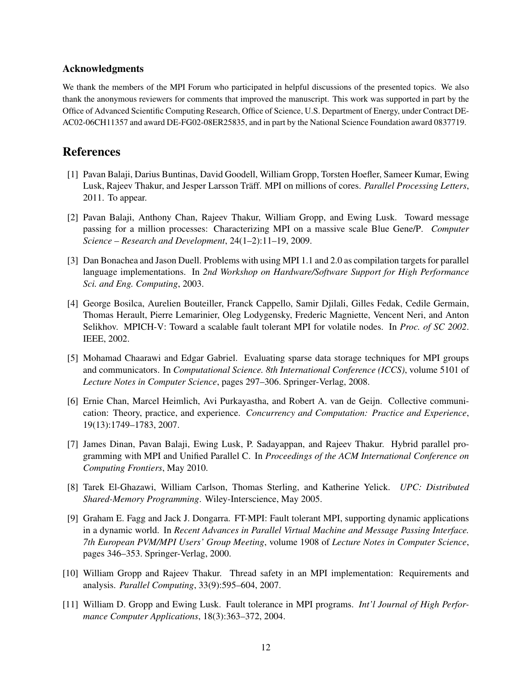### Acknowledgments

We thank the members of the MPI Forum who participated in helpful discussions of the presented topics. We also thank the anonymous reviewers for comments that improved the manuscript. This work was supported in part by the Office of Advanced Scientific Computing Research, Office of Science, U.S. Department of Energy, under Contract DE-AC02-06CH11357 and award DE-FG02-08ER25835, and in part by the National Science Foundation award 0837719.

## References

- [1] Pavan Balaji, Darius Buntinas, David Goodell, William Gropp, Torsten Hoefler, Sameer Kumar, Ewing Lusk, Rajeev Thakur, and Jesper Larsson Träff. MPI on millions of cores. Parallel Processing Letters, 2011. To appear.
- [2] Pavan Balaji, Anthony Chan, Rajeev Thakur, William Gropp, and Ewing Lusk. Toward message passing for a million processes: Characterizing MPI on a massive scale Blue Gene/P. *Computer Science – Research and Development*, 24(1–2):11–19, 2009.
- [3] Dan Bonachea and Jason Duell. Problems with using MPI 1.1 and 2.0 as compilation targets for parallel language implementations. In *2nd Workshop on Hardware/Software Support for High Performance Sci. and Eng. Computing*, 2003.
- [4] George Bosilca, Aurelien Bouteiller, Franck Cappello, Samir Djilali, Gilles Fedak, Cedile Germain, Thomas Herault, Pierre Lemarinier, Oleg Lodygensky, Frederic Magniette, Vencent Neri, and Anton Selikhov. MPICH-V: Toward a scalable fault tolerant MPI for volatile nodes. In *Proc. of SC 2002*. IEEE, 2002.
- [5] Mohamad Chaarawi and Edgar Gabriel. Evaluating sparse data storage techniques for MPI groups and communicators. In *Computational Science. 8th International Conference (ICCS)*, volume 5101 of *Lecture Notes in Computer Science*, pages 297–306. Springer-Verlag, 2008.
- [6] Ernie Chan, Marcel Heimlich, Avi Purkayastha, and Robert A. van de Geijn. Collective communication: Theory, practice, and experience. *Concurrency and Computation: Practice and Experience*, 19(13):1749–1783, 2007.
- [7] James Dinan, Pavan Balaji, Ewing Lusk, P. Sadayappan, and Rajeev Thakur. Hybrid parallel programming with MPI and Unified Parallel C. In *Proceedings of the ACM International Conference on Computing Frontiers*, May 2010.
- [8] Tarek El-Ghazawi, William Carlson, Thomas Sterling, and Katherine Yelick. *UPC: Distributed Shared-Memory Programming*. Wiley-Interscience, May 2005.
- [9] Graham E. Fagg and Jack J. Dongarra. FT-MPI: Fault tolerant MPI, supporting dynamic applications in a dynamic world. In *Recent Advances in Parallel Virtual Machine and Message Passing Interface. 7th European PVM/MPI Users' Group Meeting*, volume 1908 of *Lecture Notes in Computer Science*, pages 346–353. Springer-Verlag, 2000.
- [10] William Gropp and Rajeev Thakur. Thread safety in an MPI implementation: Requirements and analysis. *Parallel Computing*, 33(9):595–604, 2007.
- [11] William D. Gropp and Ewing Lusk. Fault tolerance in MPI programs. *Int'l Journal of High Performance Computer Applications*, 18(3):363–372, 2004.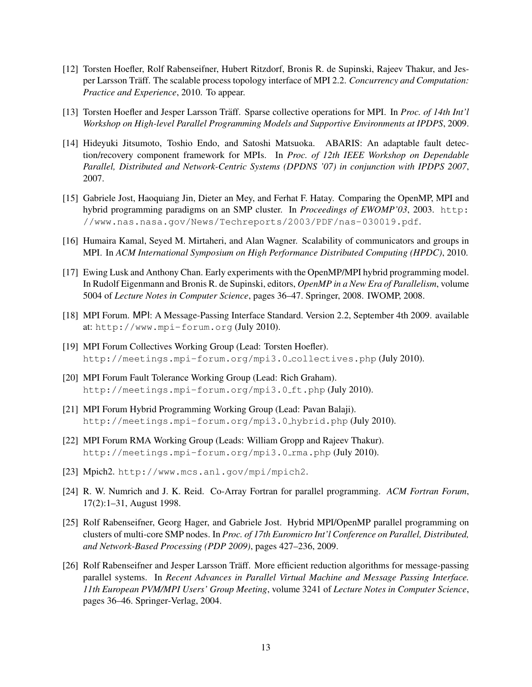- [12] Torsten Hoefler, Rolf Rabenseifner, Hubert Ritzdorf, Bronis R. de Supinski, Rajeev Thakur, and Jesper Larsson Träff. The scalable process topology interface of MPI 2.2. *Concurrency and Computation: Practice and Experience*, 2010. To appear.
- [13] Torsten Hoefler and Jesper Larsson Träff. Sparse collective operations for MPI. In *Proc. of 14th Int'l Workshop on High-level Parallel Programming Models and Supportive Environments at IPDPS*, 2009.
- [14] Hideyuki Jitsumoto, Toshio Endo, and Satoshi Matsuoka. ABARIS: An adaptable fault detection/recovery component framework for MPIs. In *Proc. of 12th IEEE Workshop on Dependable Parallel, Distributed and Network-Centric Systems (DPDNS '07) in conjunction with IPDPS 2007*, 2007.
- [15] Gabriele Jost, Haoquiang Jin, Dieter an Mey, and Ferhat F. Hatay. Comparing the OpenMP, MPI and hybrid programming paradigms on an SMP cluster. In *Proceedings of EWOMP'03*, 2003. http: //www.nas.nasa.gov/News/Techreports/2003/PDF/nas-030019.pdf.
- [16] Humaira Kamal, Seyed M. Mirtaheri, and Alan Wagner. Scalability of communicators and groups in MPI. In *ACM International Symposium on High Performance Distributed Computing (HPDC)*, 2010.
- [17] Ewing Lusk and Anthony Chan. Early experiments with the OpenMP/MPI hybrid programming model. In Rudolf Eigenmann and Bronis R. de Supinski, editors, *OpenMP in a New Era of Parallelism*, volume 5004 of *Lecture Notes in Computer Science*, pages 36–47. Springer, 2008. IWOMP, 2008.
- [18] MPI Forum. MPI: A Message-Passing Interface Standard. Version 2.2, September 4th 2009. available at: http://www.mpi-forum.org (July 2010).
- [19] MPI Forum Collectives Working Group (Lead: Torsten Hoefler). http://meetings.mpi-forum.org/mpi3.0 collectives.php (July 2010).
- [20] MPI Forum Fault Tolerance Working Group (Lead: Rich Graham). http://meetings.mpi-forum.org/mpi3.0\_ft.php(July 2010).
- [21] MPI Forum Hybrid Programming Working Group (Lead: Pavan Balaji). http://meetings.mpi-forum.org/mpi3.0 hybrid.php (July 2010).
- [22] MPI Forum RMA Working Group (Leads: William Gropp and Rajeev Thakur). http://meetings.mpi-forum.org/mpi3.0\_rma.php (July 2010).
- [23] Mpich2. http://www.mcs.anl.gov/mpi/mpich2.
- [24] R. W. Numrich and J. K. Reid. Co-Array Fortran for parallel programming. *ACM Fortran Forum*, 17(2):1–31, August 1998.
- [25] Rolf Rabenseifner, Georg Hager, and Gabriele Jost. Hybrid MPI/OpenMP parallel programming on clusters of multi-core SMP nodes. In *Proc. of 17th Euromicro Int'l Conference on Parallel, Distributed, and Network-Based Processing (PDP 2009)*, pages 427–236, 2009.
- [26] Rolf Rabenseifner and Jesper Larsson Träff. More efficient reduction algorithms for message-passing parallel systems. In *Recent Advances in Parallel Virtual Machine and Message Passing Interface. 11th European PVM/MPI Users' Group Meeting*, volume 3241 of *Lecture Notes in Computer Science*, pages 36–46. Springer-Verlag, 2004.